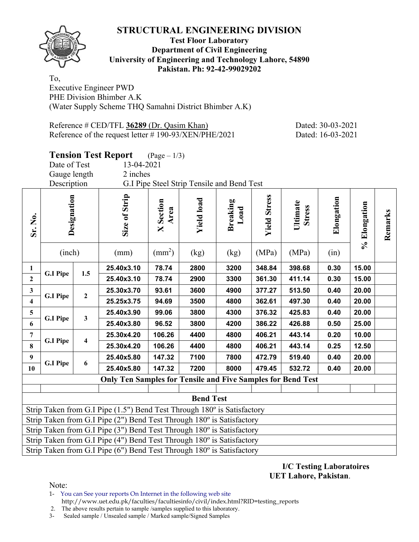## **Test Floor Laboratory Department of Civil Engineering University of Engineering and Technology Lahore, 54890 Pakistan. Ph: 92-42-99029202**

To, Executive Engineer PWD PHE Division Bhimber A.K (Water Supply Scheme THQ Samahni District Bhimber A.K)

Reference # CED/TFL 36289 (Dr. Qasim Khan) Dated: 30-03-2021 Reference of the request letter # 190-93/XEN/PHE/2021 Dated: 16-03-2021

| Date of Test<br>13-04-2021<br>Gauge length<br>2 inches<br>Description<br>G.I Pipe Steel Strip Tensile and Bend Test<br>Size of Strip<br><b>Yield Stress</b><br>Designation<br>Elongation<br><b>Yield load</b><br><b>X</b> Section<br>Breaking<br>Load<br>Ultimate<br>% Elongation<br><b>Stress</b><br>Area<br>Sr. No. | <b>Tension Test Report</b><br>$(Page - 1/3)$ |  |  |  |  |  |  |  |  |  |  |
|-----------------------------------------------------------------------------------------------------------------------------------------------------------------------------------------------------------------------------------------------------------------------------------------------------------------------|----------------------------------------------|--|--|--|--|--|--|--|--|--|--|
|                                                                                                                                                                                                                                                                                                                       |                                              |  |  |  |  |  |  |  |  |  |  |
|                                                                                                                                                                                                                                                                                                                       |                                              |  |  |  |  |  |  |  |  |  |  |
|                                                                                                                                                                                                                                                                                                                       |                                              |  |  |  |  |  |  |  |  |  |  |
|                                                                                                                                                                                                                                                                                                                       | Remarks                                      |  |  |  |  |  |  |  |  |  |  |
| (inch)<br>$\text{ (mm}^2\text{)}$<br>(MPa)<br>(MPa)<br>(mm)<br>(kg)<br>(in)<br>(kg)                                                                                                                                                                                                                                   |                                              |  |  |  |  |  |  |  |  |  |  |
| 348.84<br>15.00<br>25.40x3.10<br>78.74<br>2800<br>3200<br>398.68<br>0.30<br>$\mathbf{1}$<br><b>G.I Pipe</b><br>1.5                                                                                                                                                                                                    |                                              |  |  |  |  |  |  |  |  |  |  |
| 25.40x3.10<br>361.30<br>411.14<br>15.00<br>$\overline{2}$<br>78.74<br>2900<br>3300<br>0.30                                                                                                                                                                                                                            |                                              |  |  |  |  |  |  |  |  |  |  |
| $\mathbf{3}$<br>25.30x3.70<br>93.61<br>3600<br>4900<br>377.27<br>513.50<br>0.40<br>20.00<br>$\mathbf{2}$<br><b>G.I Pipe</b>                                                                                                                                                                                           |                                              |  |  |  |  |  |  |  |  |  |  |
| 20.00<br>$\overline{\mathbf{4}}$<br>25.25x3.75<br>94.69<br>4800<br>362.61<br>497.30<br>0.40<br>3500                                                                                                                                                                                                                   |                                              |  |  |  |  |  |  |  |  |  |  |
| 376.32<br>20.00<br>25.40x3.90<br>99.06<br>3800<br>425.83<br>0.40<br>$5\phantom{.0}$<br>4300<br>3<br><b>G.I Pipe</b>                                                                                                                                                                                                   |                                              |  |  |  |  |  |  |  |  |  |  |
| 96.52<br>25.00<br>25.40x3.80<br>3800<br>4200<br>386.22<br>426.88<br>0.50<br>6                                                                                                                                                                                                                                         |                                              |  |  |  |  |  |  |  |  |  |  |
| 106.26<br>406.21<br>443.14<br>$\overline{7}$<br>25.30x4.20<br>4400<br>4800<br>0.20<br>10.00                                                                                                                                                                                                                           |                                              |  |  |  |  |  |  |  |  |  |  |
| <b>G.I Pipe</b><br>$\overline{\mathbf{4}}$<br>8<br>25.30x4.20<br>106.26<br>4400<br>406.21<br>443.14<br>12.50<br>4800<br>0.25                                                                                                                                                                                          |                                              |  |  |  |  |  |  |  |  |  |  |
| 25.40x5.80<br>20.00<br>$\boldsymbol{9}$<br>147.32<br>7100<br>7800<br>472.79<br>519.40<br>0.40<br><b>G.I Pipe</b><br>6                                                                                                                                                                                                 |                                              |  |  |  |  |  |  |  |  |  |  |
| 25.40x5.80<br>147.32<br>7200<br>8000<br>479.45<br>532.72<br>20.00<br>0.40<br>10                                                                                                                                                                                                                                       |                                              |  |  |  |  |  |  |  |  |  |  |
| <b>Only Ten Samples for Tensile and Five Samples for Bend Test</b>                                                                                                                                                                                                                                                    |                                              |  |  |  |  |  |  |  |  |  |  |
|                                                                                                                                                                                                                                                                                                                       |                                              |  |  |  |  |  |  |  |  |  |  |
| <b>Bend Test</b>                                                                                                                                                                                                                                                                                                      |                                              |  |  |  |  |  |  |  |  |  |  |
| Strip Taken from G.I Pipe (1.5") Bend Test Through 180° is Satisfactory                                                                                                                                                                                                                                               |                                              |  |  |  |  |  |  |  |  |  |  |
| Strip Taken from G.I Pipe (2") Bend Test Through 180° is Satisfactory<br>Strip Taken from G.I Pipe (3") Bend Test Through 180° is Satisfactory                                                                                                                                                                        |                                              |  |  |  |  |  |  |  |  |  |  |
| Strip Taken from G.I Pipe (4") Bend Test Through 180° is Satisfactory                                                                                                                                                                                                                                                 |                                              |  |  |  |  |  |  |  |  |  |  |
| Strip Taken from G.I Pipe (6") Bend Test Through 180° is Satisfactory                                                                                                                                                                                                                                                 |                                              |  |  |  |  |  |  |  |  |  |  |

**I/C Testing Laboratoires UET Lahore, Pakistan**.

Note:

1- You can See your reports On Internet in the following web site http://www.uet.edu.pk/faculties/facultiesinfo/civil/index.html?RID=testing\_reports

2. The above results pertain to sample /samples supplied to this laboratory.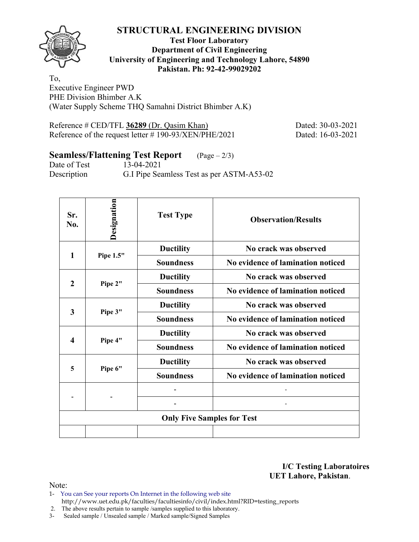

**Test Floor Laboratory Department of Civil Engineering University of Engineering and Technology Lahore, 54890 Pakistan. Ph: 92-42-99029202** 

To, Executive Engineer PWD PHE Division Bhimber A.K (Water Supply Scheme THQ Samahni District Bhimber A.K)

Reference # CED/TFL 36289 (Dr. Qasim Khan) Dated: 30-03-2021 Reference of the request letter # 190-93/XEN/PHE/2021 Dated: 16-03-2021

# **Seamless/Flattening Test Report** (Page – 2/3)

Date of Test 13-04-2021 Description G.I Pipe Seamless Test as per ASTM-A53-02

| Sr.<br>No.       | Designation | <b>Test Type</b>                  | <b>Observation/Results</b>        |  |  |  |
|------------------|-------------|-----------------------------------|-----------------------------------|--|--|--|
| $\mathbf{1}$     | Pipe 1.5"   | <b>Ductility</b>                  | No crack was observed             |  |  |  |
|                  |             | <b>Soundness</b>                  | No evidence of lamination noticed |  |  |  |
| $\overline{2}$   |             | <b>Ductility</b>                  | No crack was observed             |  |  |  |
|                  | Pipe 2"     | <b>Soundness</b>                  | No evidence of lamination noticed |  |  |  |
|                  | Pipe 3"     | <b>Ductility</b>                  | No crack was observed             |  |  |  |
| 3                |             | <b>Soundness</b>                  | No evidence of lamination noticed |  |  |  |
|                  |             | <b>Ductility</b>                  | No crack was observed             |  |  |  |
| $\boldsymbol{4}$ | Pipe 4"     | <b>Soundness</b>                  | No evidence of lamination noticed |  |  |  |
|                  |             | <b>Ductility</b>                  | No crack was observed             |  |  |  |
| 5                | Pipe 6"     | <b>Soundness</b>                  | No evidence of lamination noticed |  |  |  |
|                  |             |                                   |                                   |  |  |  |
|                  |             |                                   |                                   |  |  |  |
|                  |             | <b>Only Five Samples for Test</b> |                                   |  |  |  |
|                  |             |                                   |                                   |  |  |  |

**I/C Testing Laboratoires UET Lahore, Pakistan**.

- 1- You can See your reports On Internet in the following web site http://www.uet.edu.pk/faculties/facultiesinfo/civil/index.html?RID=testing\_reports
- 2. The above results pertain to sample /samples supplied to this laboratory.
- 3- Sealed sample / Unsealed sample / Marked sample/Signed Samples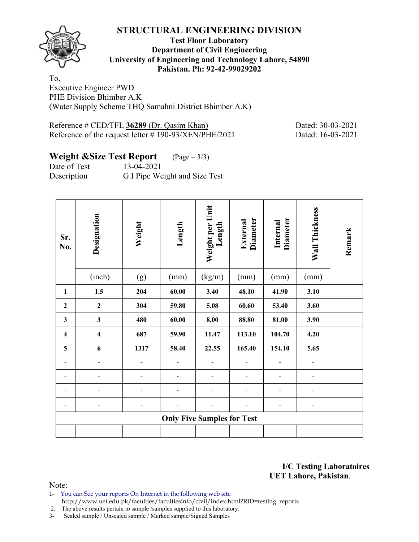**Test Floor Laboratory Department of Civil Engineering University of Engineering and Technology Lahore, 54890 Pakistan. Ph: 92-42-99029202** 

To, Executive Engineer PWD PHE Division Bhimber A.K (Water Supply Scheme THQ Samahni District Bhimber A.K)

Reference # CED/TFL 36289 (Dr. Qasim Khan) Dated: 30-03-2021 Reference of the request letter # 190-93/XEN/PHE/2021 Dated: 16-03-2021

# **Weight &Size Test Report** (Page – 3/3)

Date of Test 13-04-2021 Description G.I Pipe Weight and Size Test

| Sr.<br>No.              | Designation             | Weight | Length | Weight per Unit<br>Length         | <b>Diameter</b><br>External | <b>Diameter</b><br>Internal | Wall Thickness | Remark |
|-------------------------|-------------------------|--------|--------|-----------------------------------|-----------------------------|-----------------------------|----------------|--------|
|                         | (inch)                  | (g)    | (mm)   | (kg/m)                            | (mm)                        | (mm)                        | (mm)           |        |
| $\mathbf{1}$            | 1.5                     | 204    | 60.00  | 3.40                              | 48.10                       | 41.90                       | 3.10           |        |
| $\overline{2}$          | $\overline{2}$          | 304    | 59.80  | 5.08                              | 60.60                       | 53.40                       | 3.60           |        |
| 3                       | $\mathbf{3}$            | 480    | 60.00  | 8.00                              | 88.80                       | 81.00                       | 3.90           |        |
| $\overline{\mathbf{4}}$ | $\overline{\mathbf{4}}$ | 687    | 59.90  | 11.47                             | 113.10                      | 104.70                      | 4.20           |        |
| 5                       | 6                       | 1317   | 58.40  | 22.55                             | 165.40                      | 154.10                      | 5.65           |        |
|                         | -                       |        |        |                                   |                             |                             |                |        |
|                         |                         |        |        |                                   |                             |                             |                |        |
|                         | -                       |        |        | -                                 | -                           | -                           | -              |        |
|                         |                         |        |        |                                   |                             | -                           |                |        |
|                         |                         |        |        | <b>Only Five Samples for Test</b> |                             |                             |                |        |
|                         |                         |        |        |                                   |                             |                             |                |        |

**I/C Testing Laboratoires UET Lahore, Pakistan**.

Note:

1- You can See your reports On Internet in the following web site http://www.uet.edu.pk/faculties/facultiesinfo/civil/index.html?RID=testing\_reports

2. The above results pertain to sample /samples supplied to this laboratory.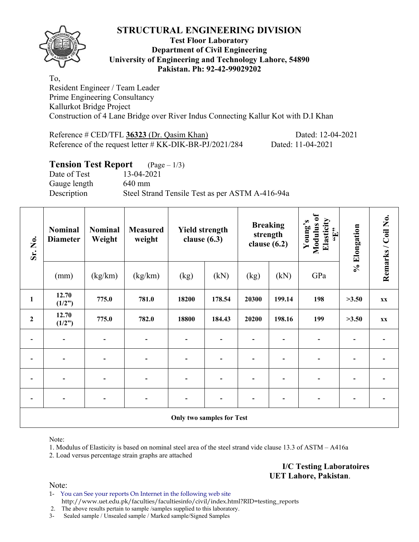

#### **Test Floor Laboratory Department of Civil Engineering University of Engineering and Technology Lahore, 54890 Pakistan. Ph: 92-42-99029202**

To, Resident Engineer / Team Leader Prime Engineering Consultancy Kallurkot Bridge Project Construction of 4 Lane Bridge over River Indus Connecting Kallur Kot with D.I Khan

Reference # CED/TFL 36323 (Dr. Qasim Khan) Dated: 12-04-2021 Reference of the request letter # KK-DIK-BR-PJ/2021/284 Dated: 11-04-2021

## **Tension Test Report** (Page – 1/3)

Date of Test 13-04-2021 Gauge length 640 mm Description Steel Strand Tensile Test as per ASTM A-416-94a

| Sr. No.      | <b>Nominal</b><br><b>Diameter</b> | <b>Nominal</b><br>Weight | <b>Measured</b><br>weight    | Modulus of<br>Elasticity<br>Young's<br><b>Breaking</b><br><b>Yield strength</b><br>$\epsilon$ . T.,<br>strength<br>clause $(6.3)$<br>clause $(6.2)$ |                           |       |        | % Elongation | Remarks / Coil No. |    |
|--------------|-----------------------------------|--------------------------|------------------------------|-----------------------------------------------------------------------------------------------------------------------------------------------------|---------------------------|-------|--------|--------------|--------------------|----|
|              | (mm)                              | (kg/km)                  | (kg/km)                      | (kg)                                                                                                                                                | (kN)                      | (kg)  | (kN)   | GPa          |                    |    |
| $\mathbf{1}$ | 12.70<br>(1/2")                   | 775.0                    | 781.0                        | 18200                                                                                                                                               | 178.54                    | 20300 | 199.14 | 198          | >3.50              | XX |
| $\mathbf 2$  | 12.70<br>(1/2")                   | 775.0                    | 782.0                        | 18800                                                                                                                                               | 184.43                    | 20200 | 198.16 | 199          | >3.50              | XX |
|              | $\qquad \qquad \blacksquare$      |                          |                              |                                                                                                                                                     |                           |       |        |              |                    |    |
|              | $\overline{a}$                    | $\overline{\phantom{0}}$ | $\overline{\phantom{0}}$     |                                                                                                                                                     |                           |       |        |              |                    |    |
|              | $\overline{\phantom{a}}$          | $\overline{\phantom{0}}$ | $\qquad \qquad \blacksquare$ |                                                                                                                                                     |                           |       |        |              |                    |    |
|              | $\blacksquare$                    |                          | $\blacksquare$               |                                                                                                                                                     |                           |       |        |              |                    |    |
|              |                                   |                          |                              |                                                                                                                                                     | Only two samples for Test |       |        |              |                    |    |

Note:

1. Modulus of Elasticity is based on nominal steel area of the steel strand vide clause 13.3 of ASTM – A416a

2. Load versus percentage strain graphs are attached

**I/C Testing Laboratoires UET Lahore, Pakistan**.

Note:

1- You can See your reports On Internet in the following web site http://www.uet.edu.pk/faculties/facultiesinfo/civil/index.html?RID=testing\_reports

2. The above results pertain to sample /samples supplied to this laboratory.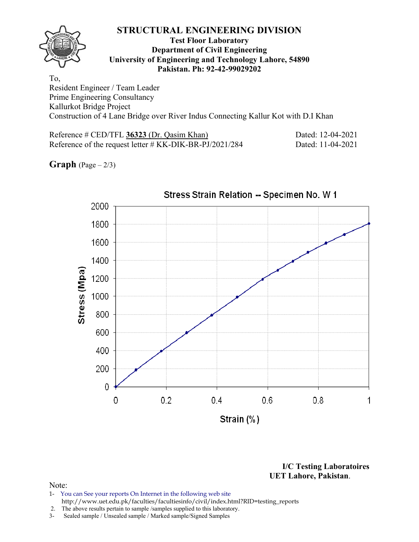#### **Test Floor Laboratory Department of Civil Engineering University of Engineering and Technology Lahore, 54890 Pakistan. Ph: 92-42-99029202**

To, Resident Engineer / Team Leader Prime Engineering Consultancy Kallurkot Bridge Project Construction of 4 Lane Bridge over River Indus Connecting Kallur Kot with D.I Khan

Reference # CED/TFL 36323 (Dr. Qasim Khan) Dated: 12-04-2021 Reference of the request letter # KK-DIK-BR-PJ/2021/284 Dated: 11-04-2021

**Graph**  $(Page - 2/3)$ 



**I/C Testing Laboratoires UET Lahore, Pakistan**.

- 1- You can See your reports On Internet in the following web site http://www.uet.edu.pk/faculties/facultiesinfo/civil/index.html?RID=testing\_reports
- 2. The above results pertain to sample /samples supplied to this laboratory.
- 3- Sealed sample / Unsealed sample / Marked sample/Signed Samples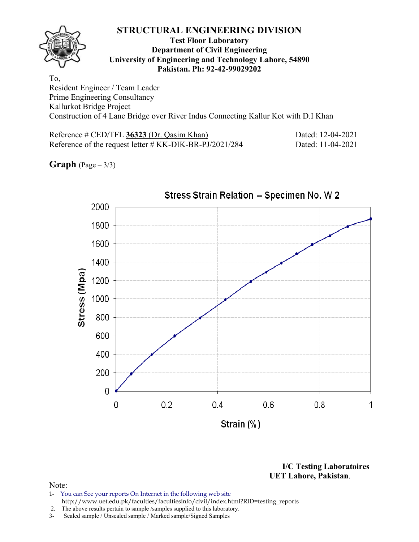#### **Test Floor Laboratory Department of Civil Engineering University of Engineering and Technology Lahore, 54890 Pakistan. Ph: 92-42-99029202**

To, Resident Engineer / Team Leader Prime Engineering Consultancy Kallurkot Bridge Project Construction of 4 Lane Bridge over River Indus Connecting Kallur Kot with D.I Khan

Reference # CED/TFL 36323 (Dr. Qasim Khan) Dated: 12-04-2021 Reference of the request letter # KK-DIK-BR-PJ/2021/284 Dated: 11-04-2021

**Graph**  $(Page - 3/3)$ 



**I/C Testing Laboratoires UET Lahore, Pakistan**.

- 1- You can See your reports On Internet in the following web site http://www.uet.edu.pk/faculties/facultiesinfo/civil/index.html?RID=testing\_reports
- 2. The above results pertain to sample /samples supplied to this laboratory.
- 3- Sealed sample / Unsealed sample / Marked sample/Signed Samples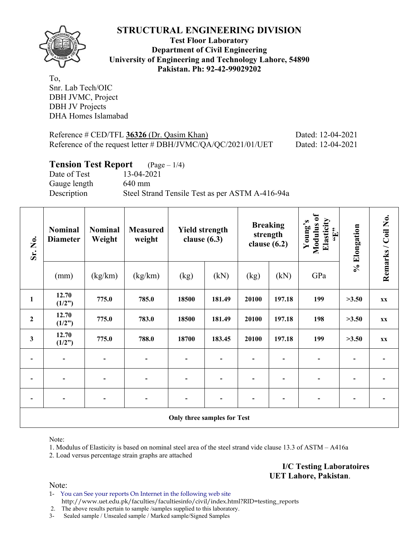

**Test Floor Laboratory Department of Civil Engineering University of Engineering and Technology Lahore, 54890 Pakistan. Ph: 92-42-99029202** 

To, Snr. Lab Tech/OIC DBH JVMC, Project DBH JV Projects DHA Homes Islamabad

Reference # CED/TFL 36326 (Dr. Qasim Khan) Dated: 12-04-2021 Reference of the request letter # DBH/JVMC/QA/QC/2021/01/UET Dated: 12-04-2021

## **Tension Test Report** (Page – 1/4)

Date of Test 13-04-2021 Gauge length 640 mm Description Steel Strand Tensile Test as per ASTM A-416-94a

| Sr. No.          | <b>Nominal</b><br><b>Diameter</b> | <b>Nominal</b><br>Weight | <b>Measured</b><br>weight |                             | <b>Yield strength</b><br>clause $(6.3)$ |       | <b>Breaking</b><br>strength<br>clause $(6.2)$ |     | % Elongation | Remarks / Coil No. |
|------------------|-----------------------------------|--------------------------|---------------------------|-----------------------------|-----------------------------------------|-------|-----------------------------------------------|-----|--------------|--------------------|
|                  | (mm)                              | (kg/km)                  | (kg/km)                   | (kg)                        | (kN)                                    | (kg)  | (kN)                                          | GPa |              |                    |
| $\mathbf{1}$     | 12.70<br>(1/2")                   | 775.0                    | 785.0                     | 18500                       | 181.49                                  | 20100 | 197.18                                        | 199 | >3.50        | XX                 |
| $\boldsymbol{2}$ | 12.70<br>(1/2")                   | 775.0                    | 783.0                     | 18500                       | 181.49                                  | 20100 | 197.18                                        | 198 | >3.50        | XX                 |
| 3                | 12.70<br>(1/2")                   | 775.0                    | 788.0                     | 18700                       | 183.45                                  | 20100 | 197.18                                        | 199 | >3.50        | XX                 |
|                  | $\overline{\phantom{a}}$          |                          |                           |                             |                                         |       |                                               |     |              |                    |
|                  | $\overline{\phantom{0}}$          |                          |                           |                             |                                         |       |                                               |     |              |                    |
|                  |                                   |                          |                           |                             |                                         |       |                                               |     |              |                    |
|                  |                                   |                          |                           | Only three samples for Test |                                         |       |                                               |     |              |                    |

Note:

1. Modulus of Elasticity is based on nominal steel area of the steel strand vide clause 13.3 of ASTM – A416a

2. Load versus percentage strain graphs are attached

**I/C Testing Laboratoires UET Lahore, Pakistan**.

Note:

1- You can See your reports On Internet in the following web site http://www.uet.edu.pk/faculties/facultiesinfo/civil/index.html?RID=testing\_reports

2. The above results pertain to sample /samples supplied to this laboratory.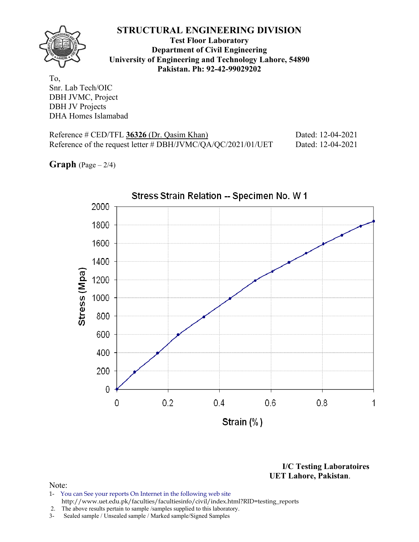

**Test Floor Laboratory Department of Civil Engineering University of Engineering and Technology Lahore, 54890 Pakistan. Ph: 92-42-99029202** 

To, Snr. Lab Tech/OIC DBH JVMC, Project DBH JV Projects DHA Homes Islamabad

Reference # CED/TFL 36326 (Dr. Qasim Khan) Dated: 12-04-2021 Reference of the request letter # DBH/JVMC/QA/QC/2021/01/UET Dated: 12-04-2021

**Graph**  $(Page - 2/4)$ 



**I/C Testing Laboratoires UET Lahore, Pakistan**.

- 1- You can See your reports On Internet in the following web site http://www.uet.edu.pk/faculties/facultiesinfo/civil/index.html?RID=testing\_reports
- 2. The above results pertain to sample /samples supplied to this laboratory.
- 3- Sealed sample / Unsealed sample / Marked sample/Signed Samples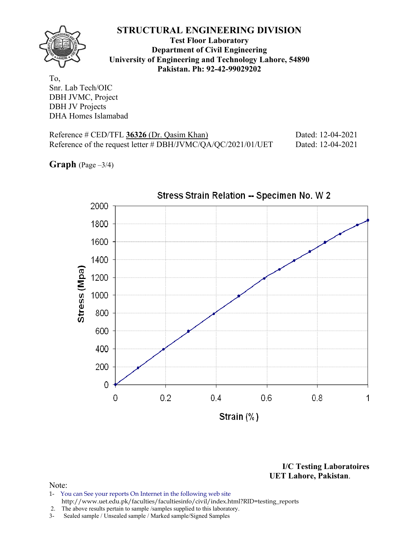

**Test Floor Laboratory Department of Civil Engineering University of Engineering and Technology Lahore, 54890 Pakistan. Ph: 92-42-99029202** 

To, Snr. Lab Tech/OIC DBH JVMC, Project DBH JV Projects DHA Homes Islamabad

Reference # CED/TFL 36326 (Dr. Qasim Khan) Dated: 12-04-2021 Reference of the request letter # DBH/JVMC/QA/QC/2021/01/UET Dated: 12-04-2021

**Graph**  $(Page -3/4)$ 



**I/C Testing Laboratoires UET Lahore, Pakistan**.

- 1- You can See your reports On Internet in the following web site http://www.uet.edu.pk/faculties/facultiesinfo/civil/index.html?RID=testing\_reports
- 2. The above results pertain to sample /samples supplied to this laboratory.
- 3- Sealed sample / Unsealed sample / Marked sample/Signed Samples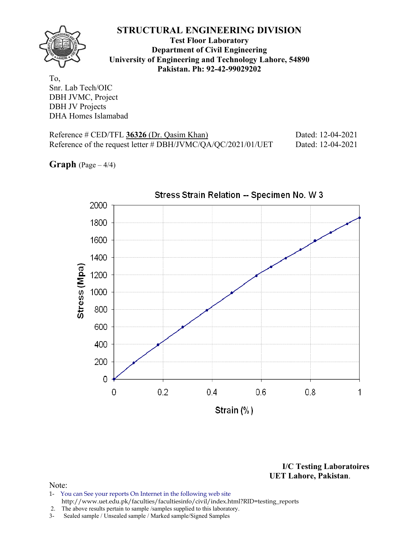

**Test Floor Laboratory Department of Civil Engineering University of Engineering and Technology Lahore, 54890 Pakistan. Ph: 92-42-99029202** 

To, Snr. Lab Tech/OIC DBH JVMC, Project DBH JV Projects DHA Homes Islamabad

Reference # CED/TFL 36326 (Dr. Qasim Khan) Dated: 12-04-2021 Reference of the request letter # DBH/JVMC/QA/QC/2021/01/UET Dated: 12-04-2021

**Graph**  $(Page - 4/4)$ 



**I/C Testing Laboratoires UET Lahore, Pakistan**.

- 1- You can See your reports On Internet in the following web site http://www.uet.edu.pk/faculties/facultiesinfo/civil/index.html?RID=testing\_reports
- 2. The above results pertain to sample /samples supplied to this laboratory.
- 3- Sealed sample / Unsealed sample / Marked sample/Signed Samples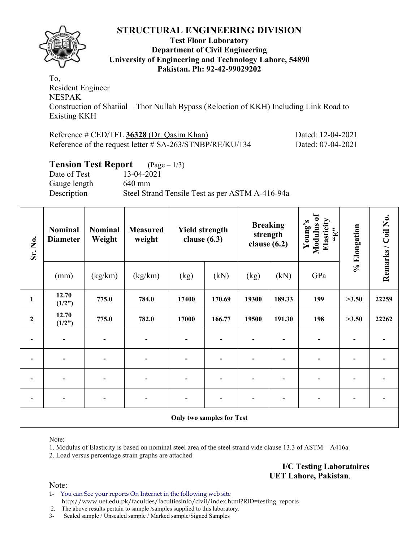

### **Test Floor Laboratory Department of Civil Engineering University of Engineering and Technology Lahore, 54890 Pakistan. Ph: 92-42-99029202**

To, Resident Engineer NESPAK Construction of Shatiial – Thor Nullah Bypass (Reloction of KKH) Including Link Road to Existing KKH

| Reference # CED/TFL 36328 (Dr. Qasim Khan)                  | Dated: 12-04-2021 |
|-------------------------------------------------------------|-------------------|
| Reference of the request letter $\# SA-263/STNBP/RE/KU/134$ | Dated: 07-04-2021 |

## **Tension Test Report** (Page – 1/3)

Date of Test 13-04-2021 Gauge length 640 mm Description Steel Strand Tensile Test as per ASTM A-416-94a

| Sr. No.      | Nominal<br><b>Diameter</b> | <b>Nominal</b><br>Weight | <b>Measured</b><br>weight |       | <b>Yield strength</b><br>clause $(6.3)$ |       | <b>Breaking</b><br>strength<br>clause $(6.2)$ | Modulus of<br>Elasticity<br>Young's<br>$\epsilon$ . T., | % Elongation | Remarks / Coil No. |
|--------------|----------------------------|--------------------------|---------------------------|-------|-----------------------------------------|-------|-----------------------------------------------|---------------------------------------------------------|--------------|--------------------|
|              | (mm)                       | (kg/km)                  | (kg/km)                   | (kg)  | (kN)                                    | (kg)  | (kN)                                          | GPa                                                     |              |                    |
| $\mathbf{1}$ | 12.70<br>(1/2")            | 775.0                    | 784.0                     | 17400 | 170.69                                  | 19300 | 189.33                                        | 199                                                     | >3.50        | 22259              |
| $\mathbf 2$  | 12.70<br>(1/2")            | 775.0                    | 782.0                     | 17000 | 166.77                                  | 19500 | 191.30                                        | 198                                                     | >3.50        | 22262              |
|              | $\overline{\phantom{a}}$   |                          | $\blacksquare$            |       |                                         |       |                                               |                                                         |              |                    |
|              | $\overline{\phantom{0}}$   |                          |                           |       |                                         |       |                                               |                                                         |              |                    |
|              | $\overline{\phantom{a}}$   | $\overline{\phantom{0}}$ | $\blacksquare$            |       |                                         |       |                                               |                                                         |              |                    |
|              | $\overline{\phantom{0}}$   |                          |                           |       |                                         |       |                                               |                                                         |              |                    |
|              |                            |                          |                           |       | <b>Only two samples for Test</b>        |       |                                               |                                                         |              |                    |

Note:

1. Modulus of Elasticity is based on nominal steel area of the steel strand vide clause 13.3 of ASTM – A416a

2. Load versus percentage strain graphs are attached

**I/C Testing Laboratoires UET Lahore, Pakistan**.

Note:

1- You can See your reports On Internet in the following web site http://www.uet.edu.pk/faculties/facultiesinfo/civil/index.html?RID=testing\_reports

2. The above results pertain to sample /samples supplied to this laboratory.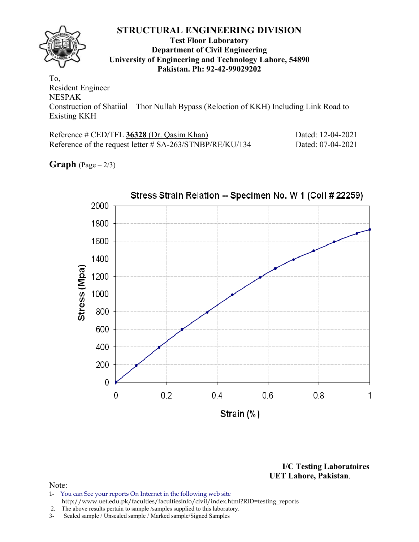## **STRUCTURAL ENGINEERING DIVISION Test Floor Laboratory Department of Civil Engineering University of Engineering and Technology Lahore, 54890 Pakistan. Ph: 92-42-99029202**  To,

Resident Engineer NESPAK Construction of Shatiial – Thor Nullah Bypass (Reloction of KKH) Including Link Road to Existing KKH

| Reference # CED/TFL 36328 (Dr. Qasim Khan)               | Dated: 12-04-2021 |
|----------------------------------------------------------|-------------------|
| Reference of the request letter # SA-263/STNBP/RE/KU/134 | Dated: 07-04-2021 |

**Graph**  $(Page - 2/3)$ 



**I/C Testing Laboratoires UET Lahore, Pakistan**.

- 1- You can See your reports On Internet in the following web site http://www.uet.edu.pk/faculties/facultiesinfo/civil/index.html?RID=testing\_reports
- 2. The above results pertain to sample /samples supplied to this laboratory.
- 3- Sealed sample / Unsealed sample / Marked sample/Signed Samples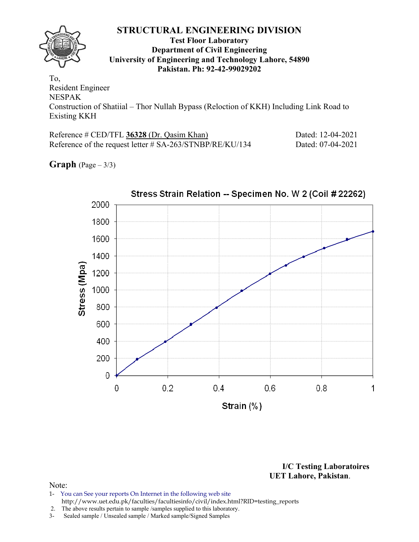## **STRUCTURAL ENGINEERING DIVISION Test Floor Laboratory Department of Civil Engineering University of Engineering and Technology Lahore, 54890 Pakistan. Ph: 92-42-99029202**  To,

Resident Engineer NESPAK Construction of Shatiial – Thor Nullah Bypass (Reloction of KKH) Including Link Road to Existing KKH

| Reference # CED/TFL 36328 (Dr. Qasim Khan)               | Dated: 12-04-2021 |
|----------------------------------------------------------|-------------------|
| Reference of the request letter # SA-263/STNBP/RE/KU/134 | Dated: 07-04-2021 |

**Graph**  $(Page - 3/3)$ 



**I/C Testing Laboratoires UET Lahore, Pakistan**.

- 1- You can See your reports On Internet in the following web site http://www.uet.edu.pk/faculties/facultiesinfo/civil/index.html?RID=testing\_reports
- 2. The above results pertain to sample /samples supplied to this laboratory.
- 3- Sealed sample / Unsealed sample / Marked sample/Signed Samples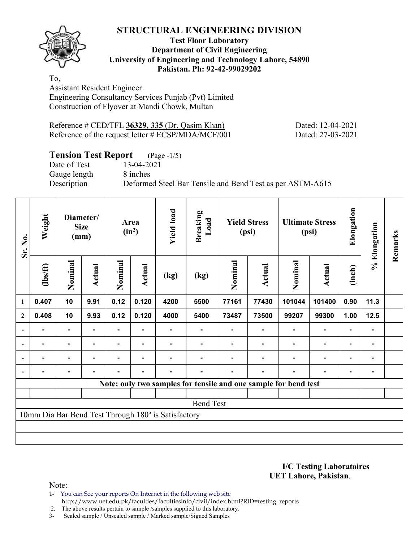

## **Test Floor Laboratory Department of Civil Engineering University of Engineering and Technology Lahore, 54890 Pakistan. Ph: 92-42-99029202**

To, Assistant Resident Engineer Engineering Consultancy Services Punjab (Pvt) Limited Construction of Flyover at Mandi Chowk, Multan

| Reference $\#$ CED/TFL 36329, 335 (Dr. Qasim Khan) |  |
|----------------------------------------------------|--|
| Reference of the request letter # ECSP/MDA/MCF/001 |  |

Dated: 12-04-2021 Dated: 27-03-2021

# **Tension Test Report** (Page -1/5)

Date of Test 13-04-2021 Gauge length 8 inches

Description Deformed Steel Bar Tensile and Bend Test as per ASTM-A615

| Sr. No.        | Weight         |                | Diameter/<br><b>Size</b><br>(mm) | Area<br>$(in^2)$ |                | <b>Yield load</b>                                   | <b>Breaking</b><br>Load                                         |         | <b>Yield Stress</b><br>(psi) |                | <b>Ultimate Stress</b><br>(psi) | Elongation     | % Elongation | Remarks |
|----------------|----------------|----------------|----------------------------------|------------------|----------------|-----------------------------------------------------|-----------------------------------------------------------------|---------|------------------------------|----------------|---------------------------------|----------------|--------------|---------|
|                | (1bs/ft)       | Nominal        | <b>Actual</b>                    | Nominal          | Actual         | (kg)                                                | (kg)                                                            | Nominal | Actual                       | Nominal        | Actual                          | (inch)         |              |         |
| $\mathbf{1}$   | 0.407          | 10             | 9.91                             | 0.12             | 0.120          | 4200                                                | 5500                                                            | 77161   | 77430                        | 101044         | 101400                          | 0.90           | 11.3         |         |
| $\mathbf{2}$   | 0.408          | 10             | 9.93                             | 0.12             | 0.120          | 4000                                                | 5400                                                            | 73487   | 73500                        | 99207          | 99300                           | 1.00           | $12.5$       |         |
| $\blacksquare$ |                | ٠              |                                  |                  |                |                                                     |                                                                 |         |                              |                | $\blacksquare$                  | ۰              |              |         |
|                | $\blacksquare$ | $\blacksquare$ | $\blacksquare$                   | ۰                | ٠              |                                                     |                                                                 |         | $\blacksquare$               | ۰              | $\blacksquare$                  | $\blacksquare$ | ۰            |         |
|                | $\blacksquare$ | ۰              | $\blacksquare$                   | ٠                | $\blacksquare$ | ۰                                                   |                                                                 |         | $\blacksquare$               | $\blacksquare$ | $\blacksquare$                  | $\blacksquare$ |              |         |
|                |                | ۰              |                                  |                  |                |                                                     |                                                                 |         |                              |                |                                 | -              |              |         |
|                |                |                |                                  |                  |                |                                                     | Note: only two samples for tensile and one sample for bend test |         |                              |                |                                 |                |              |         |
|                |                |                |                                  |                  |                |                                                     |                                                                 |         |                              |                |                                 |                |              |         |
|                |                |                |                                  |                  |                |                                                     | <b>Bend Test</b>                                                |         |                              |                |                                 |                |              |         |
|                |                |                |                                  |                  |                | 10mm Dia Bar Bend Test Through 180° is Satisfactory |                                                                 |         |                              |                |                                 |                |              |         |
|                |                |                |                                  |                  |                |                                                     |                                                                 |         |                              |                |                                 |                |              |         |
|                |                |                |                                  |                  |                |                                                     |                                                                 |         |                              |                |                                 |                |              |         |

**I/C Testing Laboratoires UET Lahore, Pakistan**.

Note:

1- You can See your reports On Internet in the following web site http://www.uet.edu.pk/faculties/facultiesinfo/civil/index.html?RID=testing\_reports

2. The above results pertain to sample /samples supplied to this laboratory.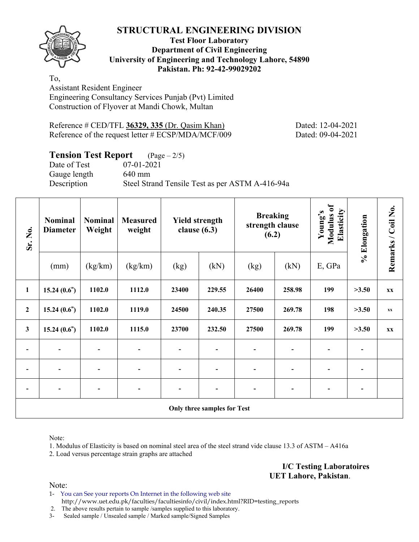

## **Test Floor Laboratory Department of Civil Engineering University of Engineering and Technology Lahore, 54890 Pakistan. Ph: 92-42-99029202**

To, Assistant Resident Engineer Engineering Consultancy Services Punjab (Pvt) Limited Construction of Flyover at Mandi Chowk, Multan

Reference # CED/TFL **36329, 335** (Dr. Qasim Khan) Dated: 12-04-2021 Reference of the request letter # ECSP/MDA/MCF/009 Dated: 09-04-2021

# **Tension Test Report** (Page – 2/5)

Date of Test 07-01-2021 Gauge length 640 mm

Description Steel Strand Tensile Test as per ASTM A-416-94a

| Sr. No.                  | <b>Nominal</b><br><b>Diameter</b> | <b>Nominal</b><br>Weight | <b>Measured</b><br>weight | <b>Yield strength</b><br>clause $(6.3)$ |                             | <b>Breaking</b><br>strength clause<br>(6.2) |                          | Modulus of<br>Elasticity<br>Young's | % Elongation | Remarks / Coil No.     |
|--------------------------|-----------------------------------|--------------------------|---------------------------|-----------------------------------------|-----------------------------|---------------------------------------------|--------------------------|-------------------------------------|--------------|------------------------|
|                          | (mm)                              | (kg/km)                  | (kg/km)                   | (kg)                                    | (kN)                        | (kg)                                        | (kN)                     | E, GPa                              |              |                        |
| $\mathbf{1}$             | 15.24(0.6")                       | 1102.0                   | 1112.0                    | 23400                                   | 229.55                      | 26400                                       | 258.98                   | 199                                 | >3.50        | <b>XX</b>              |
| $\boldsymbol{2}$         | 15.24(0.6")                       | 1102.0                   | 1119.0                    | 24500                                   | 240.35                      | 27500                                       | 269.78                   | 198                                 | >3.50        | $\mathbf{X}\mathbf{X}$ |
| $\overline{\mathbf{3}}$  | 15.24(0.6")                       | 1102.0                   | 1115.0                    | 23700                                   | 232.50                      | 27500                                       | 269.78                   | 199                                 | >3.50        | <b>XX</b>              |
| $\overline{\phantom{a}}$ | $\overline{\phantom{a}}$          |                          |                           |                                         | $\blacksquare$              | $\overline{\phantom{a}}$                    | $\overline{\phantom{a}}$ | $\overline{\phantom{a}}$            |              |                        |
| $\overline{\phantom{a}}$ | $\blacksquare$                    |                          |                           |                                         |                             |                                             | -                        | $\overline{\phantom{a}}$            |              |                        |
|                          | $\blacksquare$                    |                          |                           |                                         |                             |                                             | -                        | $\blacksquare$                      |              |                        |
|                          |                                   |                          |                           |                                         | Only three samples for Test |                                             |                          |                                     |              |                        |

Note:

1. Modulus of Elasticity is based on nominal steel area of the steel strand vide clause 13.3 of ASTM – A416a

2. Load versus percentage strain graphs are attached

**I/C Testing Laboratoires UET Lahore, Pakistan**.

Note:

1- You can See your reports On Internet in the following web site http://www.uet.edu.pk/faculties/facultiesinfo/civil/index.html?RID=testing\_reports

2. The above results pertain to sample /samples supplied to this laboratory.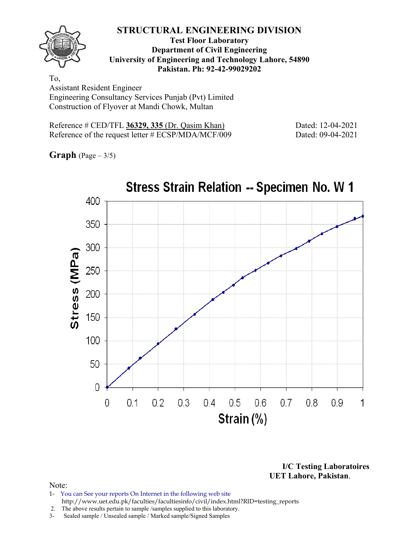

#### **Test Floor Laboratory Department of Civil Engineering University of Engineering and Technology Lahore, 54890 Pakistan. Ph: 92-42-99029202**

To, Assistant Resident Engineer Engineering Consultancy Services Punjab (Pvt) Limited Construction of Flyover at Mandi Chowk, Multan

Reference # CED/TFL **36329, 335** (Dr. Qasim Khan) Dated: 12-04-2021 Reference of the request letter # ECSP/MDA/MCF/009 Dated: 09-04-2021

**Graph** (Page – 3/5)



**I/C Testing Laboratoires UET Lahore, Pakistan**.

- 1- You can See your reports On Internet in the following web site http://www.uet.edu.pk/faculties/facultiesinfo/civil/index.html?RID=testing\_reports
- 2. The above results pertain to sample /samples supplied to this laboratory.
- 3- Sealed sample / Unsealed sample / Marked sample/Signed Samples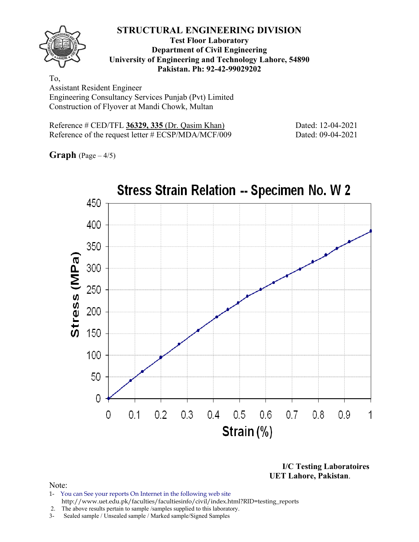

**Test Floor Laboratory Department of Civil Engineering University of Engineering and Technology Lahore, 54890 Pakistan. Ph: 92-42-99029202** 

To, Assistant Resident Engineer Engineering Consultancy Services Punjab (Pvt) Limited Construction of Flyover at Mandi Chowk, Multan

Reference # CED/TFL **36329, 335** (Dr. Qasim Khan) Dated: 12-04-2021 Reference of the request letter # ECSP/MDA/MCF/009 Dated: 09-04-2021

**Graph**  $(Page - 4/5)$ 



**I/C Testing Laboratoires UET Lahore, Pakistan**.

- 1- You can See your reports On Internet in the following web site http://www.uet.edu.pk/faculties/facultiesinfo/civil/index.html?RID=testing\_reports
- 2. The above results pertain to sample /samples supplied to this laboratory.
- 3- Sealed sample / Unsealed sample / Marked sample/Signed Samples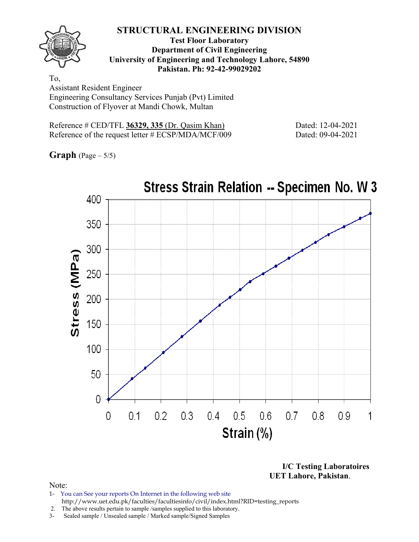

**Test Floor Laboratory Department of Civil Engineering University of Engineering and Technology Lahore, 54890 Pakistan. Ph: 92-42-99029202** 

To, Assistant Resident Engineer Engineering Consultancy Services Punjab (Pvt) Limited Construction of Flyover at Mandi Chowk, Multan

Reference # CED/TFL **36329, 335** (Dr. Qasim Khan) Dated: 12-04-2021 Reference of the request letter # ECSP/MDA/MCF/009 Dated: 09-04-2021

**Graph** (Page – 5/5)



**I/C Testing Laboratoires UET Lahore, Pakistan**.

- 1- You can See your reports On Internet in the following web site http://www.uet.edu.pk/faculties/facultiesinfo/civil/index.html?RID=testing\_reports
- 2. The above results pertain to sample /samples supplied to this laboratory.
- 3- Sealed sample / Unsealed sample / Marked sample/Signed Samples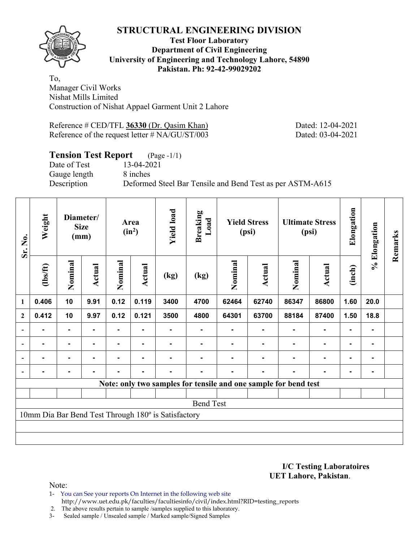

#### **Test Floor Laboratory Department of Civil Engineering University of Engineering and Technology Lahore, 54890 Pakistan. Ph: 92-42-99029202**

To, Manager Civil Works Nishat Mills Limited Construction of Nishat Appael Garment Unit 2 Lahore

Reference # CED/TFL 36330 (Dr. Qasim Khan) Dated: 12-04-2021 Reference of the request letter # NA/GU/ST/003 Dated: 03-04-2021

# **Tension Test Report** (Page -1/1)

Date of Test 13-04-2021 Gauge length 8 inches

Description Deformed Steel Bar Tensile and Bend Test as per ASTM-A615

| Sr. No.                                             | Weight                                                          | Diameter/<br><b>Size</b><br>(mm) |                | Area<br>$(in^2)$ |                | <b>Yield load</b> | <b>Breaking</b><br>Load |                | <b>Yield Stress</b><br>(psi) |         | <b>Ultimate Stress</b><br>(psi) |                | % Elongation   | Remarks |
|-----------------------------------------------------|-----------------------------------------------------------------|----------------------------------|----------------|------------------|----------------|-------------------|-------------------------|----------------|------------------------------|---------|---------------------------------|----------------|----------------|---------|
|                                                     | (lbs/ft)                                                        | Nominal                          | <b>Actual</b>  | Nominal          | Actual         | (kg)              | (kg)                    | Nominal        | Actual                       | Nominal | <b>Actual</b>                   | (inch)         |                |         |
| 1                                                   | 0.406                                                           | 10                               | 9.91           | 0.12             | 0.119          | 3400              | 4700                    | 62464          | 62740                        | 86347   | 86800                           | 1.60           | 20.0           |         |
| $\boldsymbol{2}$                                    | 0.412                                                           | 10                               | 9.97           | 0.12             | 0.121          | 3500              | 4800                    | 64301          | 63700                        | 88184   | 87400                           | 1.50           | 18.8           |         |
|                                                     |                                                                 | $\blacksquare$                   |                |                  |                |                   |                         |                |                              |         |                                 |                |                |         |
|                                                     | $\blacksquare$                                                  | $\blacksquare$                   | -              | $\blacksquare$   | $\blacksquare$ |                   |                         |                |                              |         | $\blacksquare$                  | $\blacksquare$ | $\blacksquare$ |         |
|                                                     | $\blacksquare$                                                  | $\blacksquare$                   | $\blacksquare$ | ۰                | $\blacksquare$ |                   | -                       | $\blacksquare$ |                              | ٠       | $\blacksquare$                  | $\blacksquare$ |                |         |
|                                                     |                                                                 | $\blacksquare$                   | -              | ۰                | $\blacksquare$ |                   |                         |                | -                            |         | $\blacksquare$                  | $\blacksquare$ | $\blacksquare$ |         |
|                                                     | Note: only two samples for tensile and one sample for bend test |                                  |                |                  |                |                   |                         |                |                              |         |                                 |                |                |         |
|                                                     |                                                                 |                                  |                |                  |                |                   |                         |                |                              |         |                                 |                |                |         |
| <b>Bend Test</b>                                    |                                                                 |                                  |                |                  |                |                   |                         |                |                              |         |                                 |                |                |         |
| 10mm Dia Bar Bend Test Through 180° is Satisfactory |                                                                 |                                  |                |                  |                |                   |                         |                |                              |         |                                 |                |                |         |
|                                                     |                                                                 |                                  |                |                  |                |                   |                         |                |                              |         |                                 |                |                |         |
|                                                     |                                                                 |                                  |                |                  |                |                   |                         |                |                              |         |                                 |                |                |         |

**I/C Testing Laboratoires UET Lahore, Pakistan**.

Note:

1- You can See your reports On Internet in the following web site http://www.uet.edu.pk/faculties/facultiesinfo/civil/index.html?RID=testing\_reports

2. The above results pertain to sample /samples supplied to this laboratory.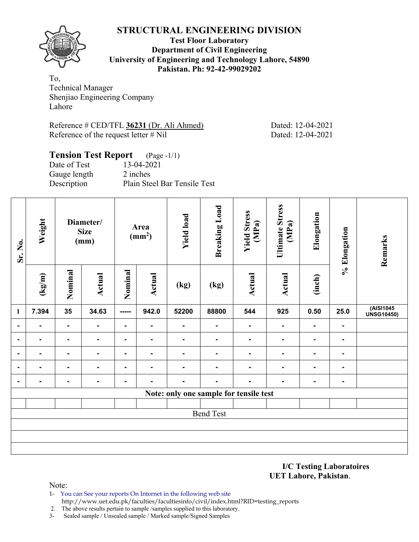**Test Floor Laboratory Department of Civil Engineering University of Engineering and Technology Lahore, 54890 Pakistan. Ph: 92-42-99029202** 

To, Technical Manager Shenjiao Engineering Company Lahore

Reference # CED/TFL **36231** (Dr. Ali Ahmed) Dated: 12-04-2021 Reference of the request letter # Nil Dated: 12-04-2021

### **Tension Test Report** (Page -1/1) Date of Test 13-04-2021 Gauge length 2 inches

Description Plain Steel Bar Tensile Test

| Sr. No.          | Weight         | Diameter/<br><b>Size</b><br>(mm)                      |                | Area<br>(mm <sup>2</sup> ) |                | <b>Yield load</b>       | <b>Breaking Load</b> | <b>Yield Stress</b><br>(MPa)           | <b>Ultimate Stress</b><br>(MPa) | Elongation     | % Elongation   | Remarks                        |  |
|------------------|----------------|-------------------------------------------------------|----------------|----------------------------|----------------|-------------------------|----------------------|----------------------------------------|---------------------------------|----------------|----------------|--------------------------------|--|
|                  | (kg/m)         | Nominal<br>Nominal<br>Actual<br><b>Actual</b><br>(kg) |                |                            | (kg)           | <b>Actual</b><br>Actual |                      | (inch)                                 |                                 |                |                |                                |  |
| $\mathbf{1}$     | 7.394          | 35                                                    | 34.63          | -----                      | 942.0          | 52200                   | 88800                | 544                                    | 925                             | 0.50           | 25.0           | (AISI1045<br><b>UNSG10450)</b> |  |
| $\blacksquare$   | $\blacksquare$ | $\blacksquare$                                        | $\blacksquare$ | $\blacksquare$             | $\blacksquare$ | $\blacksquare$          | $\blacksquare$       | $\blacksquare$                         | $\blacksquare$                  | $\blacksquare$ | $\blacksquare$ |                                |  |
| $\blacksquare$   |                | $\blacksquare$                                        | $\blacksquare$ | $\blacksquare$             | $\blacksquare$ | $\blacksquare$          | ۰                    |                                        | $\blacksquare$                  | $\blacksquare$ | $\blacksquare$ |                                |  |
| ۰                | $\blacksquare$ | ٠                                                     | $\blacksquare$ | $\blacksquare$             | ۰              | $\blacksquare$          | $\blacksquare$       | Ξ.                                     | $\blacksquare$                  | $\blacksquare$ | $\blacksquare$ |                                |  |
| ۰                |                | $\blacksquare$                                        | Ξ.             | $\blacksquare$             | ۰.             | ۰                       | -                    | Ξ.                                     | $\blacksquare$                  | $\blacksquare$ | $\blacksquare$ |                                |  |
| $\blacksquare$   | $\blacksquare$ | ٠                                                     | $\blacksquare$ | $\blacksquare$             | -              |                         | $\blacksquare$       |                                        | $\blacksquare$                  | $\blacksquare$ | ۰              |                                |  |
|                  |                |                                                       |                |                            |                |                         |                      | Note: only one sample for tensile test |                                 |                |                |                                |  |
|                  |                |                                                       |                |                            |                |                         |                      |                                        |                                 |                |                |                                |  |
| <b>Bend Test</b> |                |                                                       |                |                            |                |                         |                      |                                        |                                 |                |                |                                |  |
|                  |                |                                                       |                |                            |                |                         |                      |                                        |                                 |                |                |                                |  |
|                  |                |                                                       |                |                            |                |                         |                      |                                        |                                 |                |                |                                |  |
|                  |                |                                                       |                |                            |                |                         |                      |                                        |                                 |                |                |                                |  |

**I/C Testing Laboratoires UET Lahore, Pakistan**.

- 1- You can See your reports On Internet in the following web site http://www.uet.edu.pk/faculties/facultiesinfo/civil/index.html?RID=testing\_reports
- 2. The above results pertain to sample /samples supplied to this laboratory.
- 3- Sealed sample / Unsealed sample / Marked sample/Signed Samples